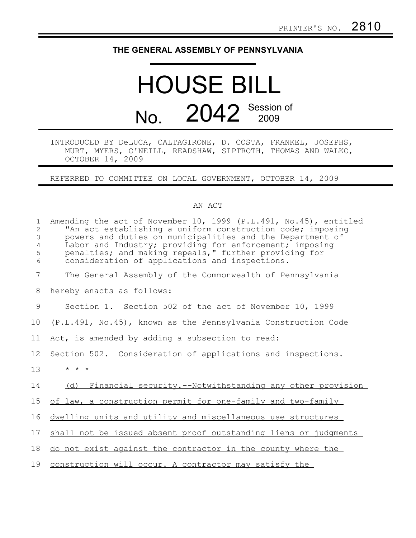## **THE GENERAL ASSEMBLY OF PENNSYLVANIA**

## HOUSE BILL No. 2042 Session of

## INTRODUCED BY DeLUCA, CALTAGIRONE, D. COSTA, FRANKEL, JOSEPHS, MURT, MYERS, O'NEILL, READSHAW, SIPTROTH, THOMAS AND WALKO, OCTOBER 14, 2009

REFERRED TO COMMITTEE ON LOCAL GOVERNMENT, OCTOBER 14, 2009

## AN ACT

| $\mathbf{1}$<br>$\overline{2}$<br>$\mathfrak{Z}$<br>$\overline{4}$<br>5<br>6 | Amending the act of November 10, 1999 (P.L.491, No.45), entitled<br>"An act establishing a uniform construction code; imposing<br>powers and duties on municipalities and the Department of<br>Labor and Industry; providing for enforcement; imposing<br>penalties; and making repeals," further providing for<br>consideration of applications and inspections. |
|------------------------------------------------------------------------------|-------------------------------------------------------------------------------------------------------------------------------------------------------------------------------------------------------------------------------------------------------------------------------------------------------------------------------------------------------------------|
| 7                                                                            | The General Assembly of the Commonwealth of Pennsylvania                                                                                                                                                                                                                                                                                                          |
| 8                                                                            | hereby enacts as follows:                                                                                                                                                                                                                                                                                                                                         |
| 9                                                                            | Section 1. Section 502 of the act of November 10, 1999                                                                                                                                                                                                                                                                                                            |
| 10                                                                           | (P.L.491, No.45), known as the Pennsylvania Construction Code                                                                                                                                                                                                                                                                                                     |
| 11                                                                           | Act, is amended by adding a subsection to read:                                                                                                                                                                                                                                                                                                                   |
| 12                                                                           | Section 502. Consideration of applications and inspections.                                                                                                                                                                                                                                                                                                       |
| 13                                                                           | $\star$ $\star$ $\star$                                                                                                                                                                                                                                                                                                                                           |
| 14                                                                           | (d) Financial security.--Notwithstanding any other provision                                                                                                                                                                                                                                                                                                      |
| 15                                                                           | of law, a construction permit for one-family and two-family                                                                                                                                                                                                                                                                                                       |
| 16                                                                           | dwelling units and utility and miscellaneous use structures                                                                                                                                                                                                                                                                                                       |
| 17                                                                           | shall not be issued absent proof outstanding liens or judgments                                                                                                                                                                                                                                                                                                   |
| 18                                                                           | do not exist against the contractor in the county where the                                                                                                                                                                                                                                                                                                       |
| 19                                                                           | construction will occur. A contractor may satisfy the                                                                                                                                                                                                                                                                                                             |